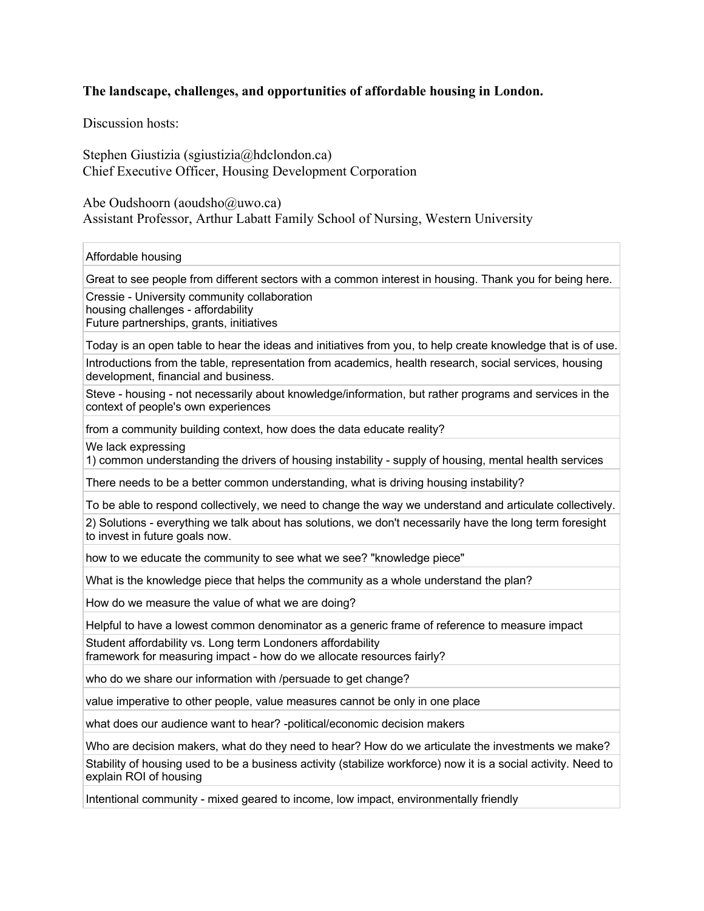## **The landscape, challenges, and opportunities of affordable housing in London.**

Discussion hosts:

Stephen Giustizia (sgiustizia@hdclondon.ca) Chief Executive Officer, Housing Development Corporation

Abe Oudshoorn (aoudsho@uwo.ca)

Assistant Professor, Arthur Labatt Family School of Nursing, Western University

Affordable housing

Great to see people from different sectors with a common interest in housing. Thank you for being here.

Cressie - University community collaboration

housing challenges - affordability Future partnerships, grants, initiatives

Today is an open table to hear the ideas and initiatives from you, to help create knowledge that is of use.

Introductions from the table, representation from academics, health research, social services, housing development, financial and business.

Steve - housing - not necessarily about knowledge/information, but rather programs and services in the context of people's own experiences

from a community building context, how does the data educate reality?

We lack expressing

1) common understanding the drivers of housing instability - supply of housing, mental health services

There needs to be a better common understanding, what is driving housing instability?

To be able to respond collectively, we need to change the way we understand and articulate collectively.

2) Solutions - everything we talk about has solutions, we don't necessarily have the long term foresight to invest in future goals now.

how to we educate the community to see what we see? "knowledge piece"

What is the knowledge piece that helps the community as a whole understand the plan?

How do we measure the value of what we are doing?

Helpful to have a lowest common denominator as a generic frame of reference to measure impact

Student affordability vs. Long term Londoners affordability

framework for measuring impact - how do we allocate resources fairly?

who do we share our information with /persuade to get change?

value imperative to other people, value measures cannot be only in one place

what does our audience want to hear? -political/economic decision makers

Who are decision makers, what do they need to hear? How do we articulate the investments we make?

Stability of housing used to be a business activity (stabilize workforce) now it is a social activity. Need to explain ROI of housing

Intentional community - mixed geared to income, low impact, environmentally friendly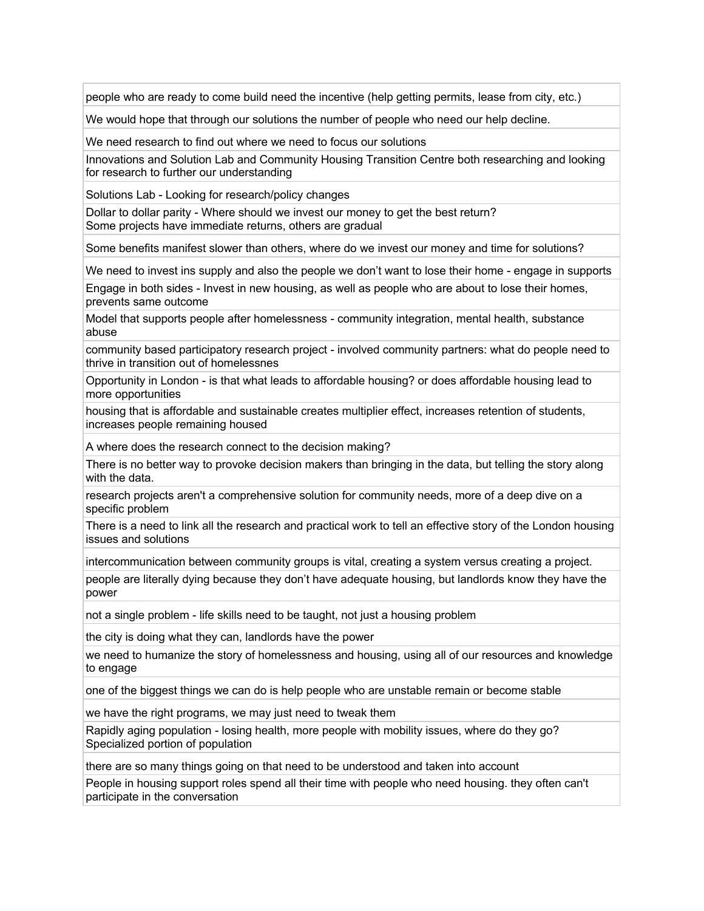people who are ready to come build need the incentive (help getting permits, lease from city, etc.)

We would hope that through our solutions the number of people who need our help decline.

We need research to find out where we need to focus our solutions

Innovations and Solution Lab and Community Housing Transition Centre both researching and looking for research to further our understanding

Solutions Lab - Looking for research/policy changes

Dollar to dollar parity - Where should we invest our money to get the best return? Some projects have immediate returns, others are gradual

Some benefits manifest slower than others, where do we invest our money and time for solutions?

We need to invest ins supply and also the people we don't want to lose their home - engage in supports

Engage in both sides - Invest in new housing, as well as people who are about to lose their homes, prevents same outcome

Model that supports people after homelessness - community integration, mental health, substance abuse

community based participatory research project - involved community partners: what do people need to thrive in transition out of homelessnes

Opportunity in London - is that what leads to affordable housing? or does affordable housing lead to more opportunities

housing that is affordable and sustainable creates multiplier effect, increases retention of students, increases people remaining housed

A where does the research connect to the decision making?

There is no better way to provoke decision makers than bringing in the data, but telling the story along with the data.

research projects aren't a comprehensive solution for community needs, more of a deep dive on a specific problem

There is a need to link all the research and practical work to tell an effective story of the London housing issues and solutions

intercommunication between community groups is vital, creating a system versus creating a project.

people are literally dying because they don't have adequate housing, but landlords know they have the power

not a single problem - life skills need to be taught, not just a housing problem

the city is doing what they can, landlords have the power

we need to humanize the story of homelessness and housing, using all of our resources and knowledge to engage

one of the biggest things we can do is help people who are unstable remain or become stable

we have the right programs, we may just need to tweak them

Rapidly aging population - losing health, more people with mobility issues, where do they go? Specialized portion of population

there are so many things going on that need to be understood and taken into account

People in housing support roles spend all their time with people who need housing. they often can't participate in the conversation